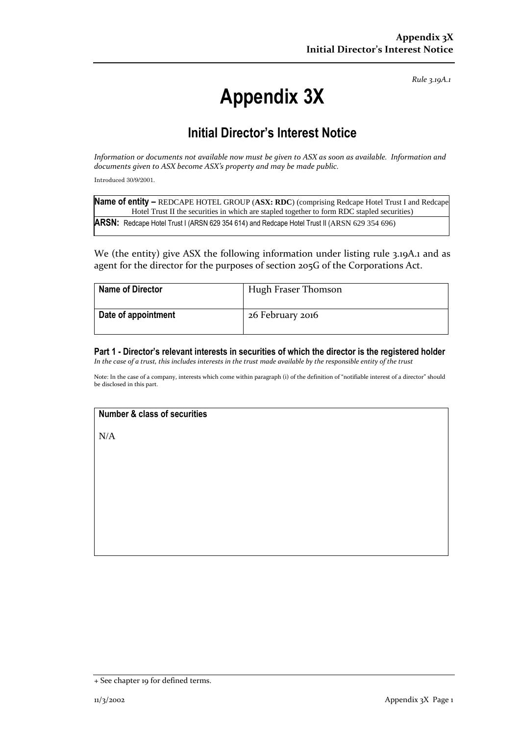*Rule 3.19A.1*

# **Appendix 3X**

## **Initial Director's Interest Notice**

*Information or documents not available now must be given to ASX as soon as available. Information and documents given to ASX become ASX's property and may be made public.*

Introduced 30/9/2001.

| Name of entity - REDCAPE HOTEL GROUP (ASX: RDC) (comprising Redcape Hotel Trust I and Redcape |
|-----------------------------------------------------------------------------------------------|
| Hotel Trust II the securities in which are stapled together to form RDC stapled securities)   |
| ARSN: Redcape Hotel Trust I (ARSN 629 354 614) and Redcape Hotel Trust II (ARSN 629 354 696)  |

We (the entity) give ASX the following information under listing rule 3.19A.1 and as agent for the director for the purposes of section 205G of the Corporations Act.

| <b>Name of Director</b> | Hugh Fraser Thomson |
|-------------------------|---------------------|
| Date of appointment     | 26 February 2016    |

**Part 1 - Director's relevant interests in securities of which the director is the registered holder** *In the case of a trust, this includes interests in the trust made available by the responsible entity of the trust*

Note: In the case of a company, interests which come within paragraph (i) of the definition of "notifiable interest of a director" should be disclosed in this part.

### **Number & class of securities**

N/A

<sup>+</sup> See chapter 19 for defined terms.